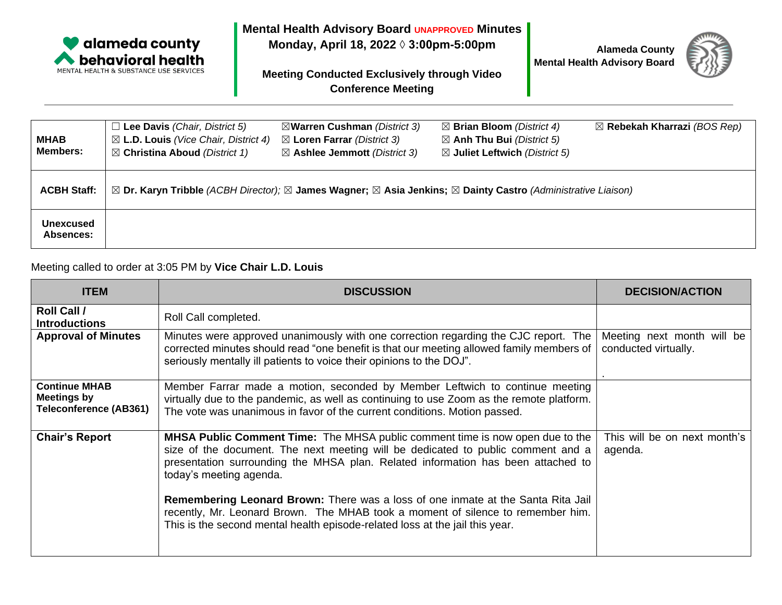

**Mental Health Advisory Board UNAPPROVED Minutes**

**Monday, April 18, 2022 ◊ 3:00pm-5:00pm**

**Meeting Conducted Exclusively through Video Conference Meeting**

**Alameda County Mental Health Advisory Board**



| <b>MHAB</b><br><b>Members:</b> | $\Box$ Lee Davis (Chair, District 5)<br>$\boxtimes$ L.D. Louis (Vice Chair, District 4)<br>$\boxtimes$ Christina Aboud (District 1) | ⊠Warren Cushman (District 3)<br>$\boxtimes$ Loren Farrar (District 3)<br>$\boxtimes$ Ashlee Jemmott (District 3) | $\boxtimes$ Brian Bloom (District 4)<br>$\boxtimes$ Anh Thu Bui (District 5)<br>$\boxtimes$ Juliet Leftwich (District 5) | $\boxtimes$ Rebekah Kharrazi (BOS Rep) |
|--------------------------------|-------------------------------------------------------------------------------------------------------------------------------------|------------------------------------------------------------------------------------------------------------------|--------------------------------------------------------------------------------------------------------------------------|----------------------------------------|
| <b>ACBH Staff:</b>             | ⊠ Dr. Karyn Tribble (ACBH Director); ⊠ James Wagner; ⊠ Asia Jenkins; ⊠ Dainty Castro (Administrative Liaison)                       |                                                                                                                  |                                                                                                                          |                                        |
| <b>Unexcused</b><br>Absences:  |                                                                                                                                     |                                                                                                                  |                                                                                                                          |                                        |

## Meeting called to order at 3:05 PM by **Vice Chair L.D. Louis**

| <b>ITEM</b>                                                                 | <b>DISCUSSION</b>                                                                                                                                                                                                                                                                                                                                                           | <b>DECISION/ACTION</b>                             |
|-----------------------------------------------------------------------------|-----------------------------------------------------------------------------------------------------------------------------------------------------------------------------------------------------------------------------------------------------------------------------------------------------------------------------------------------------------------------------|----------------------------------------------------|
| Roll Call /<br><b>Introductions</b>                                         | Roll Call completed.                                                                                                                                                                                                                                                                                                                                                        |                                                    |
| <b>Approval of Minutes</b>                                                  | Minutes were approved unanimously with one correction regarding the CJC report. The<br>corrected minutes should read "one benefit is that our meeting allowed family members of<br>seriously mentally ill patients to voice their opinions to the DOJ".                                                                                                                     | Meeting next month will be<br>conducted virtually. |
| <b>Continue MHAB</b><br><b>Meetings by</b><br><b>Teleconference (AB361)</b> | Member Farrar made a motion, seconded by Member Leftwich to continue meeting<br>virtually due to the pandemic, as well as continuing to use Zoom as the remote platform.<br>The vote was unanimous in favor of the current conditions. Motion passed.                                                                                                                       |                                                    |
| <b>Chair's Report</b>                                                       | <b>MHSA Public Comment Time:</b> The MHSA public comment time is now open due to the<br>size of the document. The next meeting will be dedicated to public comment and a<br>presentation surrounding the MHSA plan. Related information has been attached to<br>today's meeting agenda.<br>Remembering Leonard Brown: There was a loss of one inmate at the Santa Rita Jail | This will be on next month's<br>agenda.            |
|                                                                             | recently, Mr. Leonard Brown. The MHAB took a moment of silence to remember him.<br>This is the second mental health episode-related loss at the jail this year.                                                                                                                                                                                                             |                                                    |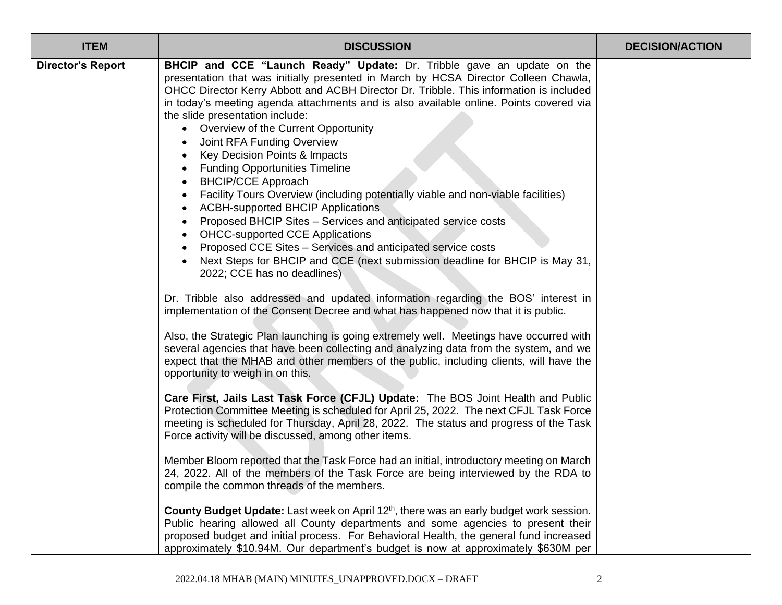| <b>ITEM</b>              | <b>DISCUSSION</b>                                                                                                                                                                                                                                                                                                                                                                                                                                                                                                                                                                                                                                                                                                                                                                                                                                                                                                                                                                                 | <b>DECISION/ACTION</b> |
|--------------------------|---------------------------------------------------------------------------------------------------------------------------------------------------------------------------------------------------------------------------------------------------------------------------------------------------------------------------------------------------------------------------------------------------------------------------------------------------------------------------------------------------------------------------------------------------------------------------------------------------------------------------------------------------------------------------------------------------------------------------------------------------------------------------------------------------------------------------------------------------------------------------------------------------------------------------------------------------------------------------------------------------|------------------------|
| <b>Director's Report</b> | <b>BHCIP and CCE "Launch Ready" Update:</b> Dr. Tribble gave an update on the<br>presentation that was initially presented in March by HCSA Director Colleen Chawla,<br>OHCC Director Kerry Abbott and ACBH Director Dr. Tribble. This information is included<br>in today's meeting agenda attachments and is also available online. Points covered via<br>the slide presentation include:<br>• Overview of the Current Opportunity<br>Joint RFA Funding Overview<br>Key Decision Points & Impacts<br><b>Funding Opportunities Timeline</b><br><b>BHCIP/CCE Approach</b><br>Facility Tours Overview (including potentially viable and non-viable facilities)<br><b>ACBH-supported BHCIP Applications</b><br>Proposed BHCIP Sites - Services and anticipated service costs<br><b>OHCC-supported CCE Applications</b><br>Proposed CCE Sites - Services and anticipated service costs<br>Next Steps for BHCIP and CCE (next submission deadline for BHCIP is May 31,<br>2022; CCE has no deadlines) |                        |
|                          | Dr. Tribble also addressed and updated information regarding the BOS' interest in<br>implementation of the Consent Decree and what has happened now that it is public.                                                                                                                                                                                                                                                                                                                                                                                                                                                                                                                                                                                                                                                                                                                                                                                                                            |                        |
|                          | Also, the Strategic Plan launching is going extremely well. Meetings have occurred with<br>several agencies that have been collecting and analyzing data from the system, and we<br>expect that the MHAB and other members of the public, including clients, will have the<br>opportunity to weigh in on this.                                                                                                                                                                                                                                                                                                                                                                                                                                                                                                                                                                                                                                                                                    |                        |
|                          | Care First, Jails Last Task Force (CFJL) Update: The BOS Joint Health and Public<br>Protection Committee Meeting is scheduled for April 25, 2022. The next CFJL Task Force<br>meeting is scheduled for Thursday, April 28, 2022. The status and progress of the Task<br>Force activity will be discussed, among other items.                                                                                                                                                                                                                                                                                                                                                                                                                                                                                                                                                                                                                                                                      |                        |
|                          | Member Bloom reported that the Task Force had an initial, introductory meeting on March<br>24, 2022. All of the members of the Task Force are being interviewed by the RDA to<br>compile the common threads of the members.                                                                                                                                                                                                                                                                                                                                                                                                                                                                                                                                                                                                                                                                                                                                                                       |                        |
|                          | County Budget Update: Last week on April 12th, there was an early budget work session.<br>Public hearing allowed all County departments and some agencies to present their<br>proposed budget and initial process. For Behavioral Health, the general fund increased<br>approximately \$10.94M. Our department's budget is now at approximately \$630M per                                                                                                                                                                                                                                                                                                                                                                                                                                                                                                                                                                                                                                        |                        |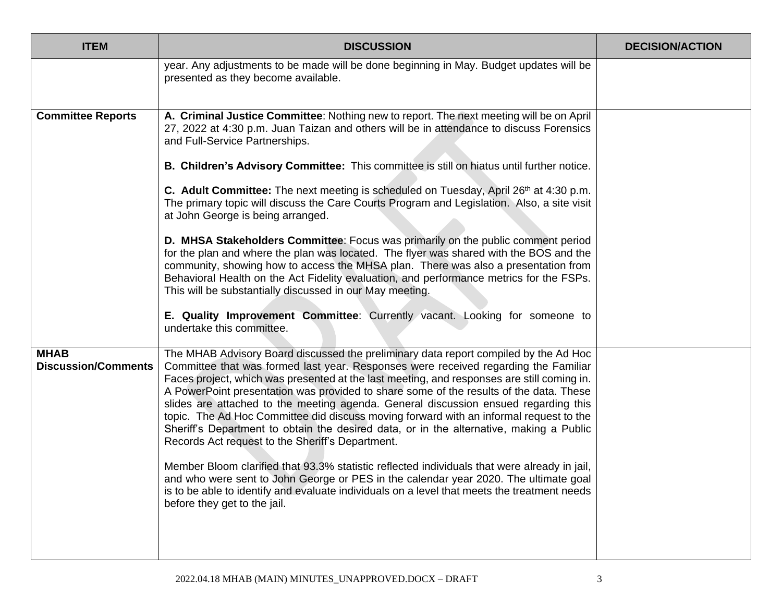| <b>ITEM</b>                               | <b>DISCUSSION</b>                                                                                                                                                                                                                                                                                                                                                                                                                                                                                                                                                                                                                                                                                                                                                                                                                                                                                                                                                                                                           | <b>DECISION/ACTION</b> |
|-------------------------------------------|-----------------------------------------------------------------------------------------------------------------------------------------------------------------------------------------------------------------------------------------------------------------------------------------------------------------------------------------------------------------------------------------------------------------------------------------------------------------------------------------------------------------------------------------------------------------------------------------------------------------------------------------------------------------------------------------------------------------------------------------------------------------------------------------------------------------------------------------------------------------------------------------------------------------------------------------------------------------------------------------------------------------------------|------------------------|
|                                           | year. Any adjustments to be made will be done beginning in May. Budget updates will be<br>presented as they become available.                                                                                                                                                                                                                                                                                                                                                                                                                                                                                                                                                                                                                                                                                                                                                                                                                                                                                               |                        |
| <b>Committee Reports</b>                  | A. Criminal Justice Committee: Nothing new to report. The next meeting will be on April<br>27, 2022 at 4:30 p.m. Juan Taizan and others will be in attendance to discuss Forensics<br>and Full-Service Partnerships.                                                                                                                                                                                                                                                                                                                                                                                                                                                                                                                                                                                                                                                                                                                                                                                                        |                        |
|                                           | B. Children's Advisory Committee: This committee is still on hiatus until further notice.                                                                                                                                                                                                                                                                                                                                                                                                                                                                                                                                                                                                                                                                                                                                                                                                                                                                                                                                   |                        |
|                                           | <b>C.</b> Adult Committee: The next meeting is scheduled on Tuesday, April 26th at 4:30 p.m.<br>The primary topic will discuss the Care Courts Program and Legislation. Also, a site visit<br>at John George is being arranged.                                                                                                                                                                                                                                                                                                                                                                                                                                                                                                                                                                                                                                                                                                                                                                                             |                        |
|                                           | D. MHSA Stakeholders Committee: Focus was primarily on the public comment period<br>for the plan and where the plan was located. The flyer was shared with the BOS and the<br>community, showing how to access the MHSA plan. There was also a presentation from<br>Behavioral Health on the Act Fidelity evaluation, and performance metrics for the FSPs.<br>This will be substantially discussed in our May meeting.                                                                                                                                                                                                                                                                                                                                                                                                                                                                                                                                                                                                     |                        |
|                                           | E. Quality Improvement Committee: Currently vacant. Looking for someone to<br>undertake this committee.                                                                                                                                                                                                                                                                                                                                                                                                                                                                                                                                                                                                                                                                                                                                                                                                                                                                                                                     |                        |
| <b>MHAB</b><br><b>Discussion/Comments</b> | The MHAB Advisory Board discussed the preliminary data report compiled by the Ad Hoc<br>Committee that was formed last year. Responses were received regarding the Familiar<br>Faces project, which was presented at the last meeting, and responses are still coming in.<br>A PowerPoint presentation was provided to share some of the results of the data. These<br>slides are attached to the meeting agenda. General discussion ensued regarding this<br>topic. The Ad Hoc Committee did discuss moving forward with an informal request to the<br>Sheriff's Department to obtain the desired data, or in the alternative, making a Public<br>Records Act request to the Sheriff's Department.<br>Member Bloom clarified that 93.3% statistic reflected individuals that were already in jail,<br>and who were sent to John George or PES in the calendar year 2020. The ultimate goal<br>is to be able to identify and evaluate individuals on a level that meets the treatment needs<br>before they get to the jail. |                        |
|                                           |                                                                                                                                                                                                                                                                                                                                                                                                                                                                                                                                                                                                                                                                                                                                                                                                                                                                                                                                                                                                                             |                        |